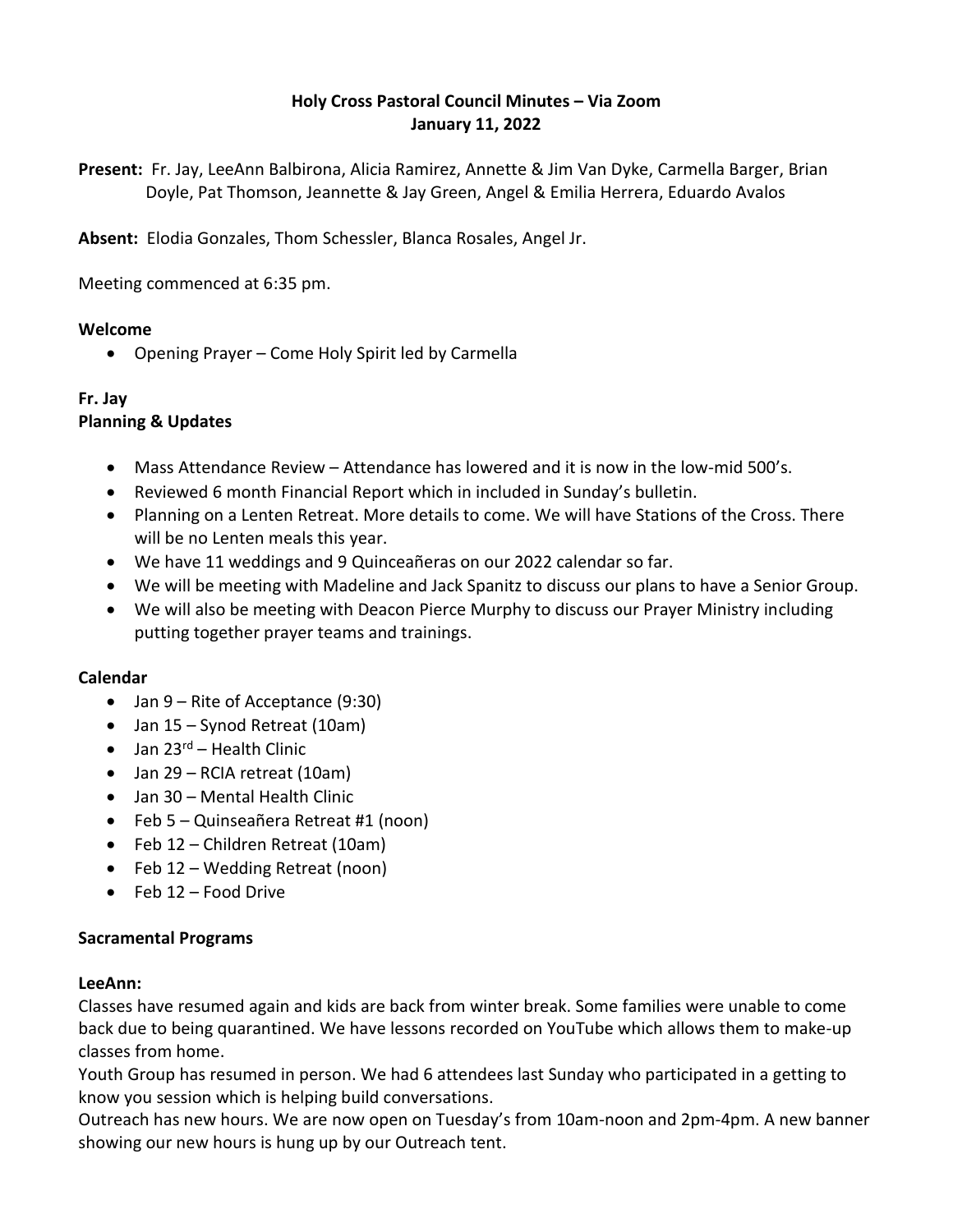# **Holy Cross Pastoral Council Minutes – Via Zoom January 11, 2022**

**Present:** Fr. Jay, LeeAnn Balbirona, Alicia Ramirez, Annette & Jim Van Dyke, Carmella Barger, Brian Doyle, Pat Thomson, Jeannette & Jay Green, Angel & Emilia Herrera, Eduardo Avalos

**Absent:** Elodia Gonzales, Thom Schessler, Blanca Rosales, Angel Jr.

Meeting commenced at 6:35 pm.

### **Welcome**

Opening Prayer – Come Holy Spirit led by Carmella

# **Fr. Jay**

## **Planning & Updates**

- Mass Attendance Review Attendance has lowered and it is now in the low-mid 500's.
- Reviewed 6 month Financial Report which in included in Sunday's bulletin.
- Planning on a Lenten Retreat. More details to come. We will have Stations of the Cross. There will be no Lenten meals this year.
- We have 11 weddings and 9 Quinceañeras on our 2022 calendar so far.
- We will be meeting with Madeline and Jack Spanitz to discuss our plans to have a Senior Group.
- We will also be meeting with Deacon Pierce Murphy to discuss our Prayer Ministry including putting together prayer teams and trainings.

## **Calendar**

- Jan 9 Rite of Acceptance (9:30)
- Jan 15 Synod Retreat (10am)
- $\bullet$  Jan 23<sup>rd</sup> Health Clinic
- Jan 29 RCIA retreat (10am)
- Jan 30 Mental Health Clinic
- Feb 5 Quinseañera Retreat #1 (noon)
- Feb 12 Children Retreat (10am)
- Feb 12 Wedding Retreat (noon)
- $\bullet$  Feb 12 Food Drive

## **Sacramental Programs**

#### **LeeAnn:**

Classes have resumed again and kids are back from winter break. Some families were unable to come back due to being quarantined. We have lessons recorded on YouTube which allows them to make-up classes from home.

Youth Group has resumed in person. We had 6 attendees last Sunday who participated in a getting to know you session which is helping build conversations.

Outreach has new hours. We are now open on Tuesday's from 10am-noon and 2pm-4pm. A new banner showing our new hours is hung up by our Outreach tent.